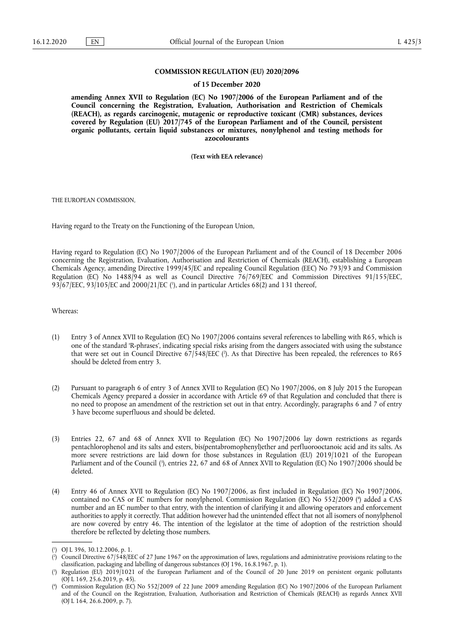#### **COMMISSION REGULATION (EU) 2020/2096**

#### **of 15 December 2020**

**amending Annex XVII to Regulation (EC) No 1907/2006 of the European Parliament and of the Council concerning the Registration, Evaluation, Authorisation and Restriction of Chemicals (REACH), as regards carcinogenic, mutagenic or reproductive toxicant (CMR) substances, devices covered by Regulation (EU) 2017/745 of the European Parliament and of the Council, persistent organic pollutants, certain liquid substances or mixtures, nonylphenol and testing methods for azocolourants** 

**(Text with EEA relevance)** 

THE EUROPEAN COMMISSION,

Having regard to the Treaty on the Functioning of the European Union,

Having regard to Regulation (EC) No 1907/2006 of the European Parliament and of the Council of 18 December 2006 concerning the Registration, Evaluation, Authorisation and Restriction of Chemicals (REACH), establishing a European Chemicals Agency, amending Directive 1999/45/EC and repealing Council Regulation (EEC) No 793/93 and Commission Regulation (EC) No 1488/94 as well as Council Directive 76/769/EEC and Commission Directives 91/155/EEC, 93/67/EEC, 93/105/EC and 2000/21/EC [\(](#page-0-0)<sup>1</sup>), and in particular Articles 68(2) and 131 thereof,

<span id="page-0-4"></span>Whereas:

- <span id="page-0-5"></span>(1) Entry 3 of Annex XVII to Regulation (EC) No 1907/2006 contains several references to labelling with R65, which is one of the standard 'R-phrases', indicating special risks arising from the dangers associated with using the substance that were set out in Council Directive 67/548/EEC [\(](#page-0-1) 2 ). As that Directive has been repealed, the references to R65 should be deleted from entry 3.
- (2) Pursuant to paragraph 6 of entry 3 of Annex XVII to Regulation (EC) No 1907/2006, on 8 July 2015 the European Chemicals Agency prepared a dossier in accordance with Article 69 of that Regulation and concluded that there is no need to propose an amendment of the restriction set out in that entry. Accordingly, paragraphs 6 and 7 of entry 3 have become superfluous and should be deleted.
- <span id="page-0-6"></span>(3) Entries 22, 67 and 68 of Annex XVII to Regulation (EC) No 1907/2006 lay down restrictions as regards pentachlorophenol and its salts and esters, bis(pentabromophenyl)ether and perfluorooctanoic acid and its salts. As more severe restrictions are laid down for those substances in Regulation (EU) 2019/1021 of the European Parliament and of the Council [\(](#page-0-2) 3 ), entries 22, 67 and 68 of Annex XVII to Regulation (EC) No 1907/2006 should be deleted.
- <span id="page-0-7"></span>(4) Entry 46 of Annex XVII to Regulation (EC) No 1907/2006, as first included in Regulation (EC) No 1907/2006, contained no CAS or EC numbers for nonylphenol. Commission Regulation (EC) No 552/2009 [\(](#page-0-3) 4 ) added a CAS number and an EC number to that entry, with the intention of clarifying it and allowing operators and enforcement authorities to apply it correctly. That addition however had the unintended effect that not all isomers of nonylphenol are now covered by entry 46. The intention of the legislator at the time of adoption of the restriction should therefore be reflected by deleting those numbers.

<span id="page-0-0"></span>[<sup>\(</sup>](#page-0-4) 1 ) OJ L 396, 30.12.2006, p. 1.

<span id="page-0-1"></span>[<sup>\(</sup>](#page-0-5) 2 ) Council Directive 67/548/EEC of 27 June 1967 on the approximation of laws, regulations and administrative provisions relating to the classification, packaging and labelling of dangerous substances (OJ 196, 16.8.1967, p. 1).

<span id="page-0-2"></span>[<sup>\(</sup>](#page-0-6) 3 ) Regulation (EU) 2019/1021 of the European Parliament and of the Council of 20 June 2019 on persistent organic pollutants (OJ L 169, 25.6.2019, p. 45).

<span id="page-0-3"></span>[<sup>\(</sup>](#page-0-7) 4 ) Commission Regulation (EC) No 552/2009 of 22 June 2009 amending Regulation (EC) No 1907/2006 of the European Parliament and of the Council on the Registration, Evaluation, Authorisation and Restriction of Chemicals (REACH) as regards Annex XVII (OJ L 164, 26.6.2009, p. 7).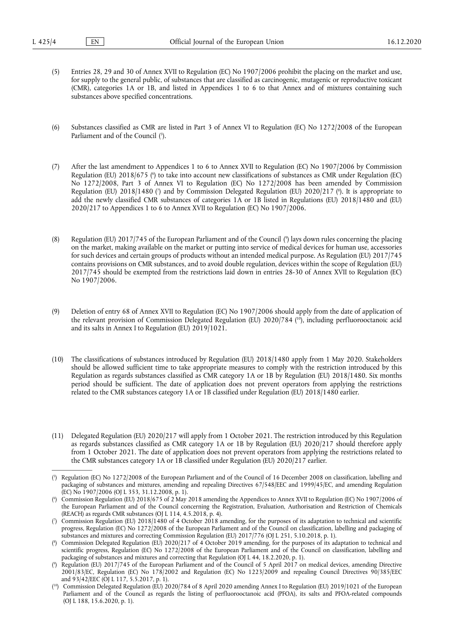- (5) Entries 28, 29 and 30 of Annex XVII to Regulation (EC) No 1907/2006 prohibit the placing on the market and use, for supply to the general public, of substances that are classified as carcinogenic, mutagenic or reproductive toxicant (CMR), categories 1A or 1B, and listed in Appendices 1 to 6 to that Annex and of mixtures containing such substances above specified concentrations.
- <span id="page-1-6"></span>(6) Substances classified as CMR are listed in Part 3 of Annex VI to Regulation (EC) No 1272/2008 of the European Parliament and of the Council (5[\).](#page-1-0)
- <span id="page-1-8"></span><span id="page-1-7"></span>(7) After the last amendment to Appendices 1 to 6 to Annex XVII to Regulation (EC) No 1907/2006 by Commission Regulation (EU[\)](#page-1-1) 2018/675 (°) to take into account new classifications of substances as CMR under Regulation (EC) No 1272/2008, Part 3 of Annex VI to Regulation (EC) No 1272/2008 has been amended by Commission Regulation [\(](#page-1-3)EU) 2018/1480 (') and by Commission Delegated Regulation (EU) 2020/217 (''). It is appropriate to add the newly classified CMR substances of categories 1A or 1B listed in Regulations (EU) 2018/1480 and (EU) 2020/217 to Appendices 1 to 6 to Annex XVII to Regulation (EC) No 1907/2006.
- <span id="page-1-9"></span>(8) Regulation (EU) 2017/745 of the European Parliament and of the Council [\(](#page-1-4) 9 ) lays down rules concerning the placing on the market, making available on the market or putting into service of medical devices for human use, accessories for such devices and certain groups of products without an intended medical purpose. As Regulation (EU) 2017/745 contains provisions on CMR substances, and to avoid double regulation, devices within the scope of Regulation (EU) 2017/745 should be exempted from the restrictions laid down in entries 28-30 of Annex XVII to Regulation (EC) No 1907/2006.
- <span id="page-1-10"></span>(9) Deletion of entry 68 of Annex XVII to Regulation (EC) No 1907/2006 should apply from the date of application of the relevant provision of Commission Delegated Regulation (EU) 2020/784 ( [10\),](#page-1-5) including perfluorooctanoic acid and its salts in Annex I to Regulation (EU) 2019/1021.
- (10) The classifications of substances introduced by Regulation (EU) 2018/1480 apply from 1 May 2020. Stakeholders should be allowed sufficient time to take appropriate measures to comply with the restriction introduced by this Regulation as regards substances classified as CMR category 1A or 1B by Regulation (EU) 2018/1480. Six months period should be sufficient. The date of application does not prevent operators from applying the restrictions related to the CMR substances category 1A or 1B classified under Regulation (EU) 2018/1480 earlier.
- (11) Delegated Regulation (EU) 2020/217 will apply from 1 October 2021. The restriction introduced by this Regulation as regards substances classified as CMR category 1A or 1B by Regulation (EU) 2020/217 should therefore apply from 1 October 2021. The date of application does not prevent operators from applying the restrictions related to the CMR substances category 1A or 1B classified under Regulation (EU) 2020/217 earlier.

<span id="page-1-0"></span>[<sup>\(</sup>](#page-1-6) 5 ) Regulation (EC) No 1272/2008 of the European Parliament and of the Council of 16 December 2008 on classification, labelling and packaging of substances and mixtures, amending and repealing Directives 67/548/EEC and 1999/45/EC, and amending Regulation (EC) No 1907/2006 (OJ L 353, 31.12.2008, p. 1).

<span id="page-1-1"></span>[<sup>\(</sup>](#page-1-7) 6 ) Commission Regulation (EU) 2018/675 of 2 May 2018 amending the Appendices to Annex XVII to Regulation (EC) No 1907/2006 of the European Parliament and of the Council concerning the Registration, Evaluation, Authorisation and Restriction of Chemicals (REACH) as regards CMR substances (OJ L 114, 4.5.2018, p. 4).

<span id="page-1-2"></span>[<sup>\(</sup>](#page-1-8) 7 ) Commission Regulation (EU) 2018/1480 of 4 October 2018 amending, for the purposes of its adaptation to technical and scientific progress, Regulation (EC) No 1272/2008 of the European Parliament and of the Council on classification, labelling and packaging of substances and mixtures and correcting Commission Regulation (EU) 2017/776 (OJ L 251, 5.10.2018, p. 1).

<span id="page-1-3"></span>[<sup>\(</sup>](#page-1-8) 8 ) Commission Delegated Regulation (EU) 2020/217 of 4 October 2019 amending, for the purposes of its adaptation to technical and scientific progress, Regulation (EC) No 1272/2008 of the European Parliament and of the Council on classification, labelling and packaging of substances and mixtures and correcting that Regulation (OJ L 44, 18.2.2020, p. 1).

<span id="page-1-4"></span>[<sup>\(</sup>](#page-1-9) 9 ) Regulation (EU) 2017/745 of the European Parliament and of the Council of 5 April 2017 on medical devices, amending Directive 2001/83/EC, Regulation (EC) No 178/2002 and Regulation (EC) No 1223/2009 and repealing Council Directives 90/385/EEC and 93/42/EEC (OJ L 117, 5.5.2017, p. 1).

<span id="page-1-5"></span><sup>(</sup> [10\)](#page-1-10) Commission Delegated Regulation (EU) 2020/784 of 8 April 2020 amending Annex I to Regulation (EU) 2019/1021 of the European Parliament and of the Council as regards the listing of perfluorooctanoic acid (PFOA), its salts and PFOA-related compounds (OJ L 188, 15.6.2020, p. 1).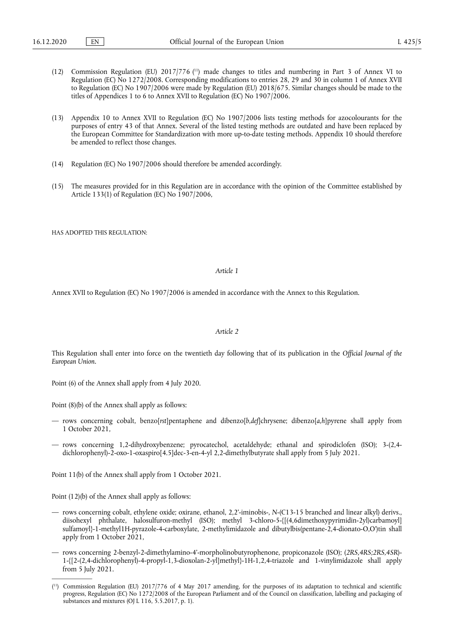- <span id="page-2-1"></span>(12) Commission Regulation (EU) 2017/776 ( [11\)](#page-2-0) made changes to titles and numbering in Part 3 of Annex VI to Regulation (EC) No 1272/2008. Corresponding modifications to entries 28, 29 and 30 in column 1 of Annex XVII to Regulation (EC) No 1907/2006 were made by Regulation (EU) 2018/675. Similar changes should be made to the titles of Appendices 1 to 6 to Annex XVII to Regulation (EC) No 1907/2006.
- (13) Appendix 10 to Annex XVII to Regulation (EC) No 1907/2006 lists testing methods for azocolourants for the purposes of entry 43 of that Annex. Several of the listed testing methods are outdated and have been replaced by the European Committee for Standardization with more up-to-date testing methods. Appendix 10 should therefore be amended to reflect those changes.
- (14) Regulation (EC) No 1907/2006 should therefore be amended accordingly.
- (15) The measures provided for in this Regulation are in accordance with the opinion of the Committee established by Article 133(1) of Regulation (EC) No 1907/2006,

HAS ADOPTED THIS REGULATION.

#### *Article 1*

Annex XVII to Regulation (EC) No 1907/2006 is amended in accordance with the Annex to this Regulation.

#### *Article 2*

This Regulation shall enter into force on the twentieth day following that of its publication in the *Official Journal of the European Union.* 

Point (6) of the Annex shall apply from 4 July 2020.

Point (8)(b) of the Annex shall apply as follows:

- rows concerning cobalt, benzo[*rst*]pentaphene and dibenzo[*b,def*]chrysene; dibenzo[*a,h*]pyrene shall apply from 1 October 2021,
- rows concerning 1,2-dihydroxybenzene; pyrocatechol, acetaldehyde; ethanal and spirodiclofen (ISO); 3-(2,4 dichlorophenyl)-2-oxo-1-oxaspiro[4.5]dec-3-en-4-yl 2,2-dimethylbutyrate shall apply from 5 July 2021.

Point 11(b) of the Annex shall apply from 1 October 2021.

Point (12)(b) of the Annex shall apply as follows:

- rows concerning cobalt, ethylene oxide; oxirane, ethanol, 2,2'-iminobis-, *N*-(C13-15 branched and linear alkyl) derivs., diisohexyl phthalate, halosulfuron-methyl (ISO); methyl 3-chloro-5-{[(4,6dimethoxypyrimidin-2yl)carbamoyl] sulfamoyl}-1-methyl1H-pyrazole-4-carboxylate, 2-methylimidazole and dibutylbis(pentane-2,4-dionato-O,O')tin shall apply from 1 October 2021,
- rows concerning 2-benzyl-2-dimethylamino-4'-morpholinobutyrophenone, propiconazole (ISO); (*2RS,4RS;2RS,4SR*)- 1-{[2-(2,4-dichlorophenyl)-4-propyl-1,3-dioxolan-2-yl]methyl}-1H-1,2,4-triazole and 1-vinylimidazole shall apply from 5 July 2021.

<span id="page-2-0"></span><sup>(</sup> [11\)](#page-2-1) Commission Regulation (EU) 2017/776 of 4 May 2017 amending, for the purposes of its adaptation to technical and scientific progress, Regulation (EC) No 1272/2008 of the European Parliament and of the Council on classification, labelling and packaging of substances and mixtures (OJ L 116, 5.5.2017, p. 1).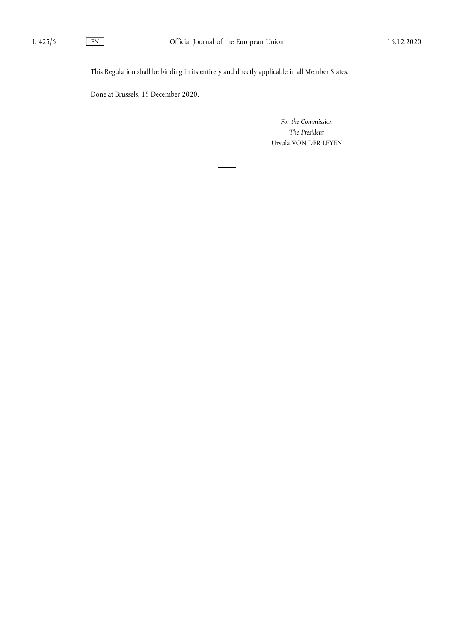This Regulation shall be binding in its entirety and directly applicable in all Member States.

Done at Brussels, 15 December 2020.

*For the Commission The President*  Ursula VON DER LEYEN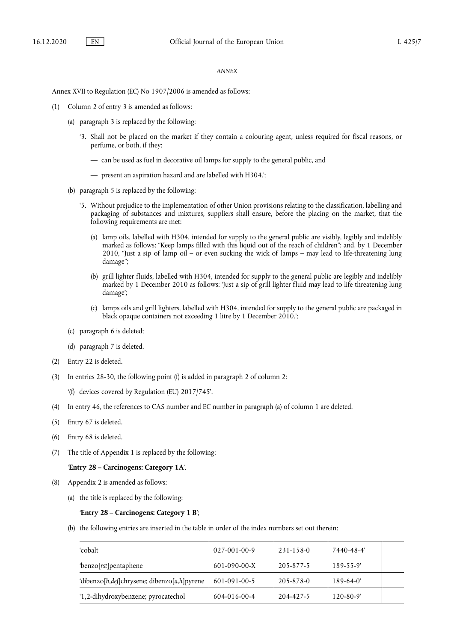## *ANNEX*

Annex XVII to Regulation (EC) No 1907/2006 is amended as follows:

- (1) Column 2 of entry 3 is amended as follows:
	- (a) paragraph 3 is replaced by the following:
		- '3. Shall not be placed on the market if they contain a colouring agent, unless required for fiscal reasons, or perfume, or both, if they:
			- can be used as fuel in decorative oil lamps for supply to the general public, and
			- present an aspiration hazard and are labelled with H304.';
	- (b) paragraph 5 is replaced by the following:
		- '5. Without prejudice to the implementation of other Union provisions relating to the classification, labelling and packaging of substances and mixtures, suppliers shall ensure, before the placing on the market, that the following requirements are met:
			- (a) lamp oils, labelled with H304, intended for supply to the general public are visibly, legibly and indelibly marked as follows: "Keep lamps filled with this liquid out of the reach of children"; and, by 1 December 2010, "Just a sip of lamp oil – or even sucking the wick of lamps – may lead to life-threatening lung damage";
			- (b) grill lighter fluids, labelled with H304, intended for supply to the general public are legibly and indelibly marked by 1 December 2010 as follows: 'Just a sip of grill lighter fluid may lead to life threatening lung damage';
			- (c) lamps oils and grill lighters, labelled with H304, intended for supply to the general public are packaged in black opaque containers not exceeding 1 litre by 1 December 2010.';
	- (c) paragraph 6 is deleted;
	- (d) paragraph 7 is deleted.
- (2) Entry 22 is deleted.
- (3) In entries 28-30, the following point (f) is added in paragraph 2 of column 2:

'(f) devices covered by Regulation (EU) 2017/745'.

- (4) In entry 46, the references to CAS number and EC number in paragraph (a) of column 1 are deleted.
- (5) Entry 67 is deleted.
- (6) Entry 68 is deleted.
- (7) The title of Appendix 1 is replaced by the following:

## '**Entry 28 – Carcinogens: Category 1A**'.

- (8) Appendix 2 is amended as follows:
	- (a) the title is replaced by the following:

## '**Entry 28 – Carcinogens: Category 1 B**';

(b) the following entries are inserted in the table in order of the index numbers set out therein:

| 'cobalt                                     | $027-001-00-9$       | 231-158-0 | 7440-48-4'      |  |
|---------------------------------------------|----------------------|-----------|-----------------|--|
| 'benzo[rst]pentaphene                       | $601 - 090 - 00 - X$ | 205-877-5 | $189 - 55 - 9'$ |  |
| 'dibenzo[b,def]chrysene; dibenzo[a,h]pyrene | 601-091-00-5         | 205-878-0 | $189-64-0'$     |  |
| '1,2-dihydroxybenzene; pyrocatechol         | 604-016-00-4         | 204-427-5 | $120 - 80 - 9'$ |  |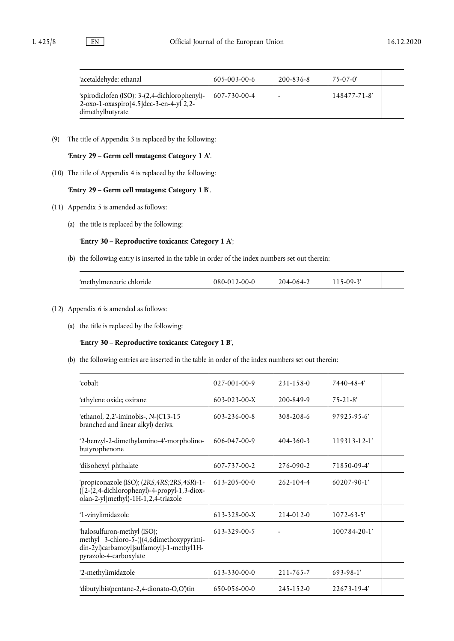| 'acetaldehyde; ethanal                                                                                       | $605 - 003 - 00 - 6$ | $200 - 836 - 8$ | $75-07-0'$  |  |
|--------------------------------------------------------------------------------------------------------------|----------------------|-----------------|-------------|--|
| 'spirodiclofen (ISO); 3-(2,4-dichlorophenyl)-<br>2-oxo-1-oxaspiro[4.5]dec-3-en-4-yl 2,2-<br>dimethylbutyrate | $607 - 730 - 00 - 4$ |                 | 148477-71-8 |  |

(9) The title of Appendix 3 is replaced by the following:

# '**Entry 29 – Germ cell mutagens: Category 1 A**'.

(10) The title of Appendix 4 is replaced by the following:

# '**Entry 29 – Germ cell mutagens: Category 1 B**'.

- (11) Appendix 5 is amended as follows:
	- (a) the title is replaced by the following:

## '**Entry 30 – Reproductive toxicants: Category 1 A**';

(b) the following entry is inserted in the table in order of the index numbers set out therein:

| 'methylmercuric chloride | ን-00-0-<br>780 | 204 | $.09-$ |  |
|--------------------------|----------------|-----|--------|--|
|                          |                |     |        |  |

## (12) Appendix 6 is amended as follows:

(a) the title is replaced by the following:

# '**Entry 30 – Reproductive toxicants: Category 1 B**',

(b) the following entries are inserted in the table in order of the index numbers set out therein:

| 'cobalt                                                                                                                                       | 027-001-00-9         | 231-158-0       | 7440-48-4'         |
|-----------------------------------------------------------------------------------------------------------------------------------------------|----------------------|-----------------|--------------------|
| 'ethylene oxide; oxirane                                                                                                                      | $603 - 023 - 00 - X$ | 200-849-9       | $75 - 21 - 8'$     |
| 'ethanol, 2,2'-iminobis-, N-(C13-15<br>branched and linear alkyl) derivs.                                                                     | 603-236-00-8         | 308-208-6       | $97925 - 95 - 6'$  |
| '2-benzyl-2-dimethylamino-4'-morpholino-<br>butyrophenone                                                                                     | 606-047-00-9         | $404 - 360 - 3$ | 119313-12-1'       |
| 'diisohexyl phthalate                                                                                                                         | 607-737-00-2         | 276-090-2       | 71850-09-4         |
| 'propiconazole (ISO); (2RS, 4RS; 2RS, 4SR)-1-<br>{[2-(2,4-dichlorophenyl)-4-propyl-1,3-diox-<br>olan-2-yl]methyl}-1H-1,2,4-triazole           | 613-205-00-0         | $262 - 104 - 4$ | $60207 - 90 - 1'$  |
| '1-vinylimidazole                                                                                                                             | 613-328-00-X         | $214 - 012 - 0$ | $1072 - 63 - 5'$   |
| 'halosulfuron-methyl (ISO);<br>methyl 3-chloro-5-{[(4,6dimethoxypyrimi-<br>din-2yl)carbamoyl]sulfamoyl}-1-methyl1H-<br>pyrazole-4-carboxylate | 613-329-00-5         |                 | $100784 - 20 - 1'$ |
| '2-methylimidazole                                                                                                                            | 613-330-00-0         | 211-765-7       | 693-98-1'          |
| 'dibutylbis(pentane-2,4-dionato-O,O')tin                                                                                                      | 650-056-00-0         | $245 - 152 - 0$ | 22673-19-4'        |